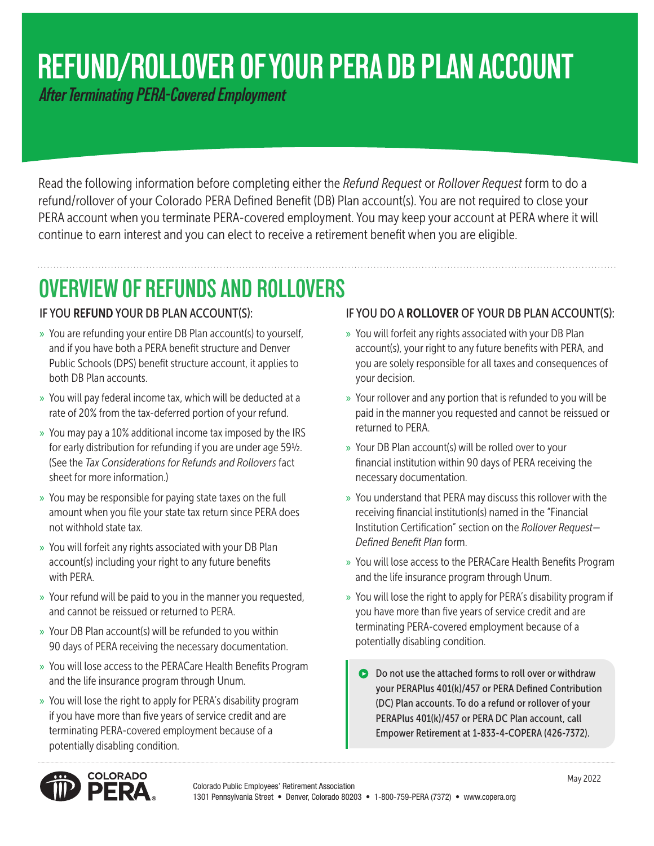# **REFUND/ROLLOVER OF YOUR PERA DB PLAN ACCOUNT**

 *After Terminating PERA-Covered Employment*

Read the following information before completing either the *Refund Request* or *Rollover Request* form to do a refund/rollover of your Colorado PERA Defined Benefit (DB) Plan account(s). You are not required to close your PERA account when you terminate PERA-covered employment. You may keep your account at PERA where it will continue to earn interest and you can elect to receive a retirement benefit when you are eligible.

## **OVERVIEW OF REFUNDS AND ROLLOVERS**

### IF YOU REFUND YOUR DB PLAN ACCOUNT(S):

- » You are refunding your entire DB Plan account(s) to yourself, and if you have both a PERA benefit structure and Denver Public Schools (DPS) benefit structure account, it applies to both DB Plan accounts.
- » You will pay federal income tax, which will be deducted at a rate of 20% from the tax-deferred portion of your refund.
- » You may pay a 10% additional income tax imposed by the IRS for early distribution for refunding if you are under age 59½. (See the *Tax Considerations for Refunds and Rollovers* fact sheet for more information.)
- » You may be responsible for paying state taxes on the full amount when you file your state tax return since PERA does not withhold state tax.
- » You will forfeit any rights associated with your DB Plan account(s) including your right to any future benefits with PERA.
- » Your refund will be paid to you in the manner you requested, and cannot be reissued or returned to PERA.
- » Your DB Plan account(s) will be refunded to you within 90 days of PERA receiving the necessary documentation.
- » You will lose access to the PERACare Health Benefits Program and the life insurance program through Unum.
- » You will lose the right to apply for PERA's disability program if you have more than five years of service credit and are terminating PERA-covered employment because of a potentially disabling condition.

### IF YOU DO A ROLLOVER OF YOUR DB PLAN ACCOUNT(S):

- » You will forfeit any rights associated with your DB Plan account(s), your right to any future benefits with PERA, and you are solely responsible for all taxes and consequences of your decision.
- » Your rollover and any portion that is refunded to you will be paid in the manner you requested and cannot be reissued or returned to PERA.
- » Your DB Plan account(s) will be rolled over to your financial institution within 90 days of PERA receiving the necessary documentation.
- » You understand that PERA may discuss this rollover with the receiving financial institution(s) named in the "Financial Institution Certification" section on the *Rollover Request— Defined Benefit Plan* form.
- » You will lose access to the PERACare Health Benefits Program and the life insurance program through Unum.
- » You will lose the right to apply for PERA's disability program if you have more than five years of service credit and are terminating PERA-covered employment because of a potentially disabling condition.
	- **O** Do not use the attached forms to roll over or withdraw your PERAPlus 401(k)/457 or PERA Defined Contribution (DC) Plan accounts. To do a refund or rollover of your PERAPlus 401(k)/457 or PERA DC Plan account, call Empower Retirement at 1-833-4-COPERA (426-7372).

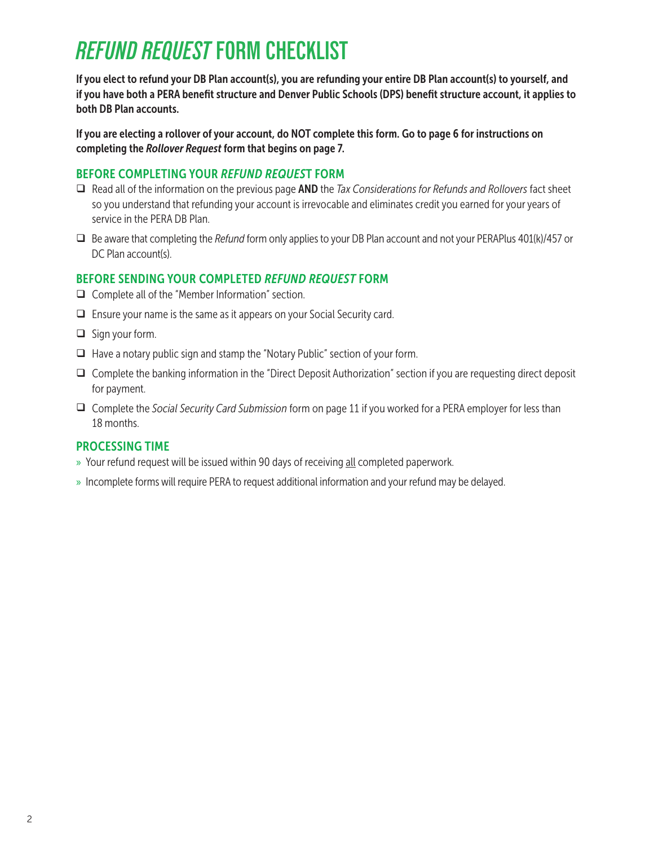## *REFUND REQUEST* **FORM CHECKLIST**

If you elect to refund your DB Plan account(s), you are refunding your entire DB Plan account(s) to yourself, and if you have both a PERA benefit structure and Denver Public Schools (DPS) benefit structure account, it applies to both DB Plan accounts.

If you are electing a rollover of your account, do NOT complete this form. Go to page 6 for instructions on completing the *Rollover Request* form that begins on page 7.

#### BEFORE COMPLETING YOUR *REFUND REQUES*T FORM

- Read all of the information on the previous page AND the *Tax Considerations for Refunds and Rollovers* fact sheet so you understand that refunding your account is irrevocable and eliminates credit you earned for your years of service in the PERA DB Plan.
- Be aware that completing the *Refund* form only applies to your DB Plan account and not your PERAPlus 401(k)/457 or DC Plan account(s).

### BEFORE SENDING YOUR COMPLETED *REFUND REQUEST* FORM

- $\Box$  Complete all of the "Member Information" section.
- $\Box$  Ensure your name is the same as it appears on your Social Security card.
- $\Box$  Sign your form.
- $\Box$  Have a notary public sign and stamp the "Notary Public" section of your form.
- $\Box$  Complete the banking information in the "Direct Deposit Authorization" section if you are requesting direct deposit for payment.
- Complete the *Social Security Card Submission* form on page 11 if you worked for a PERA employer for less than 18 months.

### PROCESSING TIME

- » Your refund request will be issued within 90 days of receiving all completed paperwork.
- » Incomplete forms will require PERA to request additional information and your refund may be delayed.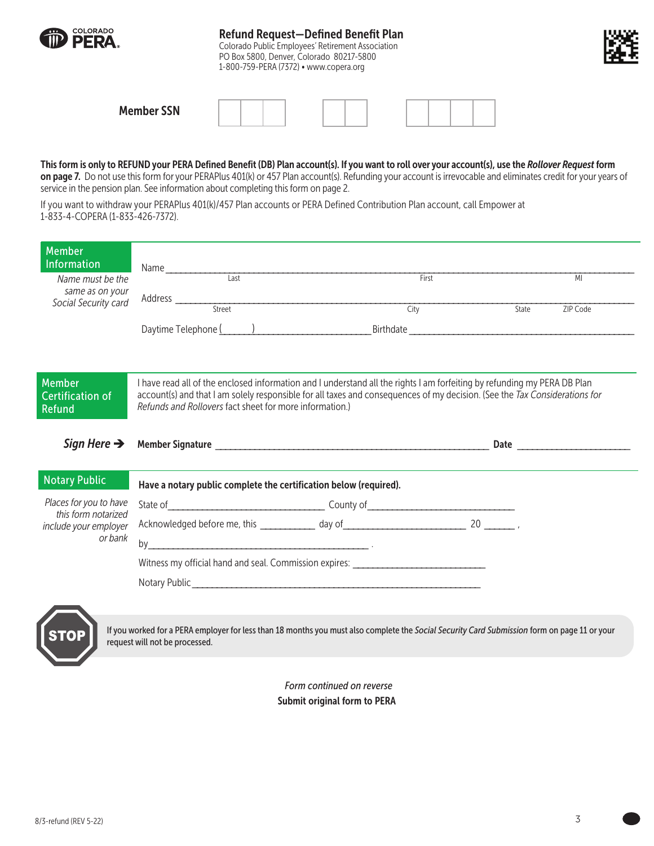| COLORADO<br><b>ID PERA.</b> | <b>Refund Request-Defined Benefit Plan</b><br>Colorado Public Employees' Retirement Association<br>PO Box 5800, Denver, Colorado 80217-5800<br>1-800-759-PERA (7372) • www.copera.org | ж, |
|-----------------------------|---------------------------------------------------------------------------------------------------------------------------------------------------------------------------------------|----|
| <b>Member SSN</b>           |                                                                                                                                                                                       |    |

#### This form is only to REFUND your PERA Defined Benefit (DB) Plan account(s). If you want to roll over your account(s), use the *Rollover Request* form

on page 7. Do not use this form for your PERAPlus 401(k) or 457 Plan account(s). Refunding your account is irrevocable and eliminates credit for your years of service in the pension plan. See information about completing this form on page 2.

If you want to withdraw your PERAPlus 401(k)/457 Plan accounts or PERA Defined Contribution Plan account, call Empower at 1-833-4-COPERA (1-833-426-7372).

|                                                                   |                                                                                  | MI                                                                                                                                                                                                                                                                                                                                 |
|-------------------------------------------------------------------|----------------------------------------------------------------------------------|------------------------------------------------------------------------------------------------------------------------------------------------------------------------------------------------------------------------------------------------------------------------------------------------------------------------------------|
|                                                                   |                                                                                  | State<br>ZIP Code                                                                                                                                                                                                                                                                                                                  |
|                                                                   |                                                                                  |                                                                                                                                                                                                                                                                                                                                    |
|                                                                   |                                                                                  |                                                                                                                                                                                                                                                                                                                                    |
|                                                                   |                                                                                  |                                                                                                                                                                                                                                                                                                                                    |
|                                                                   |                                                                                  |                                                                                                                                                                                                                                                                                                                                    |
|                                                                   |                                                                                  |                                                                                                                                                                                                                                                                                                                                    |
| Have a notary public complete the certification below (required). |                                                                                  |                                                                                                                                                                                                                                                                                                                                    |
|                                                                   |                                                                                  |                                                                                                                                                                                                                                                                                                                                    |
|                                                                   |                                                                                  |                                                                                                                                                                                                                                                                                                                                    |
|                                                                   |                                                                                  |                                                                                                                                                                                                                                                                                                                                    |
|                                                                   |                                                                                  |                                                                                                                                                                                                                                                                                                                                    |
|                                                                   | Witness my official hand and seal. Commission expires: _________________________ |                                                                                                                                                                                                                                                                                                                                    |
|                                                                   |                                                                                  | First<br>City<br>I have read all of the enclosed information and I understand all the rights I am forfeiting by refunding my PERA DB Plan<br>account(s) and that I am solely responsible for all taxes and consequences of my decision. (See the Tax Considerations for<br>Refunds and Rollovers fact sheet for more information.) |

*Form continued on reverse* Submit original form to PERA

 $\overline{\phantom{0}}$ 

Į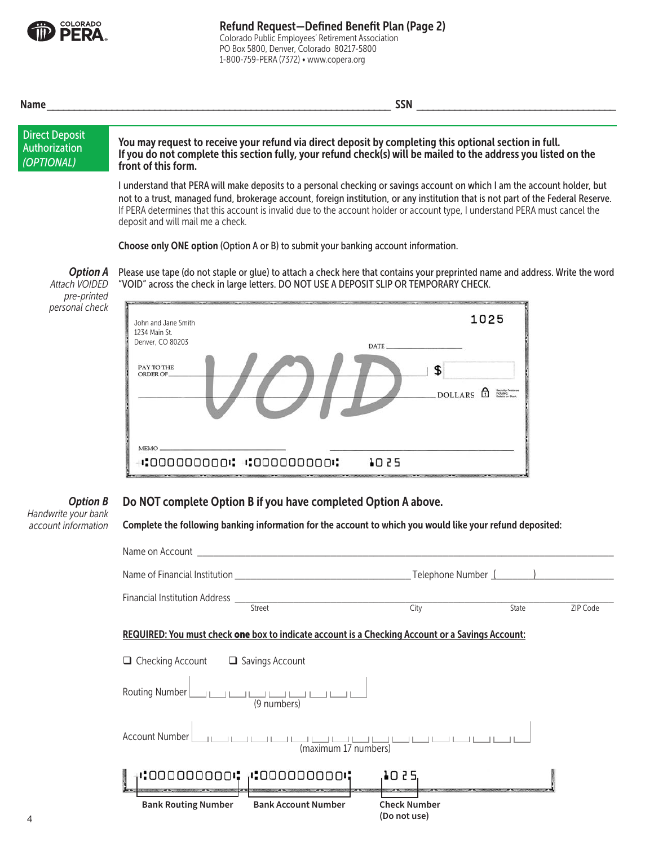

Colorado Public Employees' Retirement Association PO Box 5800, Denver, Colorado 80217-5800 1-800-759-PERA (7372) • www.copera.org

| <b>Name</b>                                                 | <b>SSN</b>                                                                                                                                                                                                                                                                                                                                                                                                                                                                                                                                                                                                                                                 |
|-------------------------------------------------------------|------------------------------------------------------------------------------------------------------------------------------------------------------------------------------------------------------------------------------------------------------------------------------------------------------------------------------------------------------------------------------------------------------------------------------------------------------------------------------------------------------------------------------------------------------------------------------------------------------------------------------------------------------------|
| <b>Direct Deposit</b><br><b>Authorization</b><br>(OPTIONAL) | You may request to receive your refund via direct deposit by completing this optional section in full.<br>If you do not complete this section fully, your refund check(s) will be mailed to the address you listed on the<br>front of this form.                                                                                                                                                                                                                                                                                                                                                                                                           |
| <b>Option A</b>                                             | I understand that PERA will make deposits to a personal checking or savings account on which I am the account holder, but<br>not to a trust, managed fund, brokerage account, foreign institution, or any institution that is not part of the Federal Reserve.<br>If PERA determines that this account is invalid due to the account holder or account type, I understand PERA must cancel the<br>deposit and will mail me a check.<br>Choose only ONE option (Option A or B) to submit your banking account information.<br>Please use tape (do not staple or glue) to attach a check here that contains your preprinted name and address. Write the word |
| Attach VOIDED<br>pre-printed<br>personal check              | "VOID" across the check in large letters. DO NOT USE A DEPOSIT SLIP OR TEMPORARY CHECK.<br>1025<br>John and Jane Smith<br>1234 Main St.<br>Denver, CO 80203<br>DATE<br>PAY TO THE<br>\$<br>ORDER OF.<br>Security Feature<br>Included.<br>Details on Back<br>Ħ<br><b>DOLLARS</b><br><b>MEMO</b>                                                                                                                                                                                                                                                                                                                                                             |

#### Do NOT complete Option B if you have completed Option A above. *Option B*

 $\cdot$ :000000000:  $\cdot$ :000000000000:

*Handwrite your bank account information*

| Complete the following banking information for the account to which you would like your refund deposited: |                                     |                   |
|-----------------------------------------------------------------------------------------------------------|-------------------------------------|-------------------|
|                                                                                                           |                                     |                   |
|                                                                                                           |                                     |                   |
| Financial Institution Address <u>Street</u>                                                               | City                                | State<br>ZIP Code |
|                                                                                                           |                                     |                   |
| REQUIRED: You must check one box to indicate account is a Checking Account or a Savings Account:          |                                     |                   |
| $\Box$ Checking Account $\Box$ Savings Account                                                            |                                     |                   |
| Routing Number<br>$\frac{1}{(9 \text{ numbers})}$                                                         |                                     |                   |
| والمواقع المواطن المسافي المواقع المسافي المسافي<br>Account Number<br>(maximum 17 numbers)                |                                     |                   |
| וסססססססם:ו, וסססססססם:ו                                                                                  | 10 2 5.                             |                   |
| <b>Bank Routing Number</b><br><b>Bank Account Number</b>                                                  | <b>Check Number</b><br>(Do not use) |                   |
|                                                                                                           |                                     |                   |

**TO 52**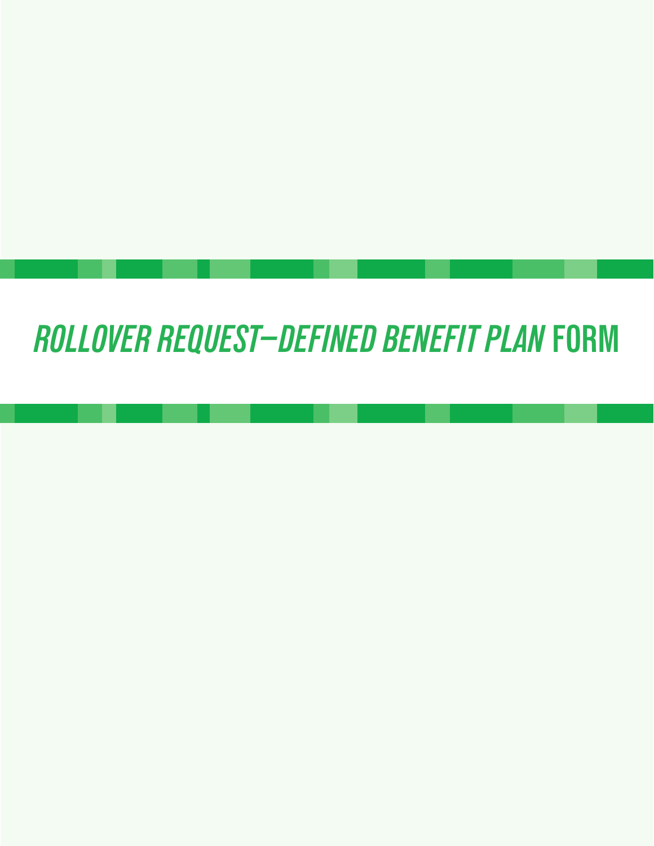# *ROLLOVER REQUEST—DEFINED BENEFIT PLAN* **FORM**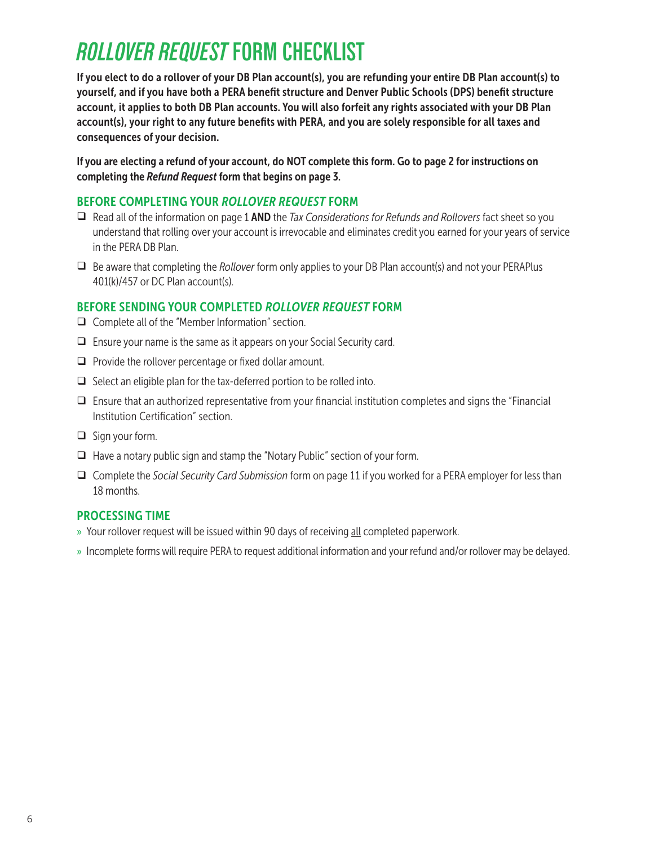## *ROLLOVER REQUEST* **FORM CHECKLIST**

If you elect to do a rollover of your DB Plan account(s), you are refunding your entire DB Plan account(s) to yourself, and if you have both a PERA benefit structure and Denver Public Schools (DPS) benefit structure account, it applies to both DB Plan accounts. You will also forfeit any rights associated with your DB Plan account(s), your right to any future benefits with PERA, and you are solely responsible for all taxes and consequences of your decision.

If you are electing a refund of your account, do NOT complete this form. Go to page 2 for instructions on completing the *Refund Request* form that begins on page 3.

### BEFORE COMPLETING YOUR *ROLLOVER REQUEST* FORM

- Read all of the information on page 1 AND the *Tax Considerations for Refunds and Rollovers* fact sheet so you understand that rolling over your account is irrevocable and eliminates credit you earned for your years of service in the PERA DB Plan.
- Be aware that completing the *Rollover* form only applies to your DB Plan account(s) and not your PERAPlus 401(k)/457 or DC Plan account(s).

### BEFORE SENDING YOUR COMPLETED *ROLLOVER REQUEST* FORM

- $\Box$  Complete all of the "Member Information" section.
- $\Box$  Ensure your name is the same as it appears on your Social Security card.
- $\Box$  Provide the rollover percentage or fixed dollar amount.
- $\Box$  Select an eligible plan for the tax-deferred portion to be rolled into.
- $\Box$  Ensure that an authorized representative from your financial institution completes and signs the "Financial" Institution Certification" section.
- $\Box$  Sign your form.
- $\Box$  Have a notary public sign and stamp the "Notary Public" section of your form.
- Complete the *Social Security Card Submission* form on page 11 if you worked for a PERA employer for less than 18 months.

### PROCESSING TIME

- » Your rollover request will be issued within 90 days of receiving all completed paperwork.
- » Incomplete forms will require PERA to request additional information and your refund and/or rollover may be delayed.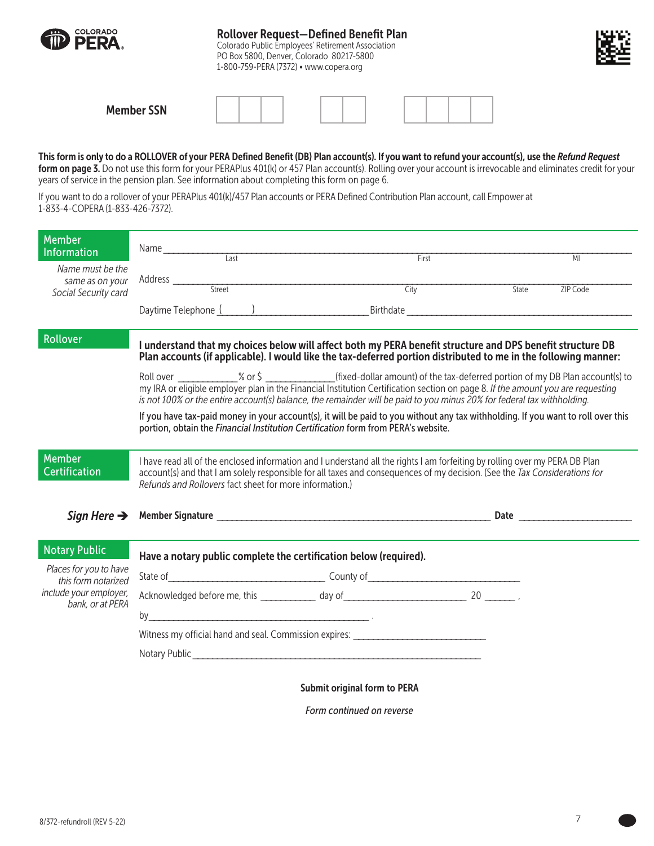

### Rollover Request—Defined Benefit Plan

Colorado Public Employees' Retirement Association PO Box 5800, Denver, Colorado 80217-5800 1-800-759-PERA (7372) • www.copera.org



| <b>Member SSN</b> |  |  |  |  |  |  |
|-------------------|--|--|--|--|--|--|
|-------------------|--|--|--|--|--|--|

#### This form is only to do a ROLLOVER of your PERA Defined Benefit (DB) Plan account(s). If you want to refund your account(s), use the *Refund Request*

form on page 3. Do not use this form for your PERAPlus 401(k) or 457 Plan account(s). Rolling over your account is irrevocable and eliminates credit for your years of service in the pension plan. See information about completing this form on page 6.

If you want to do a rollover of your PERAPlus 401(k)/457 Plan accounts or PERA Defined Contribution Plan account, call Empower at 1-833-4-COPERA (1-833-426-7372).

| <b>Member</b>                                 |                                                                                   |                                                                                                                                                                                                                                                                                                                                                                                          |       |          |
|-----------------------------------------------|-----------------------------------------------------------------------------------|------------------------------------------------------------------------------------------------------------------------------------------------------------------------------------------------------------------------------------------------------------------------------------------------------------------------------------------------------------------------------------------|-------|----------|
| Information                                   |                                                                                   |                                                                                                                                                                                                                                                                                                                                                                                          |       | MI       |
| Name must be the                              |                                                                                   | First                                                                                                                                                                                                                                                                                                                                                                                    |       |          |
| same as on your                               |                                                                                   | <u> 1989 - Johann John Stein, market fan it ferskearre fan it ferskearre fan it ferskearre fan it ferskearre fan i</u><br>City                                                                                                                                                                                                                                                           | State | ZIP Code |
| Social Security card                          |                                                                                   |                                                                                                                                                                                                                                                                                                                                                                                          |       |          |
|                                               |                                                                                   | Daytime Telephone (Champion Communication of Birthdate Champion Communication of Birthdate Champion Champion C                                                                                                                                                                                                                                                                           |       |          |
| Rollover                                      |                                                                                   | I understand that my choices below will affect both my PERA benefit structure and DPS benefit structure DB<br>Plan accounts (if applicable). I would like the tax-deferred portion distributed to me in the following manner:                                                                                                                                                            |       |          |
|                                               |                                                                                   | Roll over _____________% or \$ _______________(fixed-dollar amount) of the tax-deferred portion of my DB Plan account(s) to<br>my IRA or eligible employer plan in the Financial Institution Certification section on page 8. If the amount you are requesting<br>is not 100% or the entire account(s) balance, the remainder will be paid to you minus 20% for federal tax withholding. |       |          |
|                                               | portion, obtain the Financial Institution Certification form from PERA's website. | If you have tax-paid money in your account(s), it will be paid to you without any tax withholding. If you want to roll over this                                                                                                                                                                                                                                                         |       |          |
| <b>Member</b><br><b>Certification</b>         | Refunds and Rollovers fact sheet for more information.)                           | I have read all of the enclosed information and I understand all the rights I am forfeiting by rolling over my PERA DB Plan<br>account(s) and that I am solely responsible for all taxes and consequences of my decision. (See the Tax Considerations for                                                                                                                                |       |          |
| Sign Here $\rightarrow$                       |                                                                                   |                                                                                                                                                                                                                                                                                                                                                                                          |       |          |
| <b>Notary Public</b>                          |                                                                                   |                                                                                                                                                                                                                                                                                                                                                                                          |       |          |
|                                               | Have a notary public complete the certification below (required).                 |                                                                                                                                                                                                                                                                                                                                                                                          |       |          |
| Places for you to have<br>this form notarized |                                                                                   |                                                                                                                                                                                                                                                                                                                                                                                          |       |          |
| include your employer,                        |                                                                                   |                                                                                                                                                                                                                                                                                                                                                                                          |       |          |
| bank, or at PERA                              | by $\overline{\phantom{a}}$                                                       |                                                                                                                                                                                                                                                                                                                                                                                          |       |          |
|                                               |                                                                                   | Witness my official hand and seal. Commission expires: _________________________                                                                                                                                                                                                                                                                                                         |       |          |
|                                               |                                                                                   |                                                                                                                                                                                                                                                                                                                                                                                          |       |          |
|                                               |                                                                                   |                                                                                                                                                                                                                                                                                                                                                                                          |       |          |
|                                               |                                                                                   | <b>Submit original form to PERA</b>                                                                                                                                                                                                                                                                                                                                                      |       |          |

*Form continued on reverse*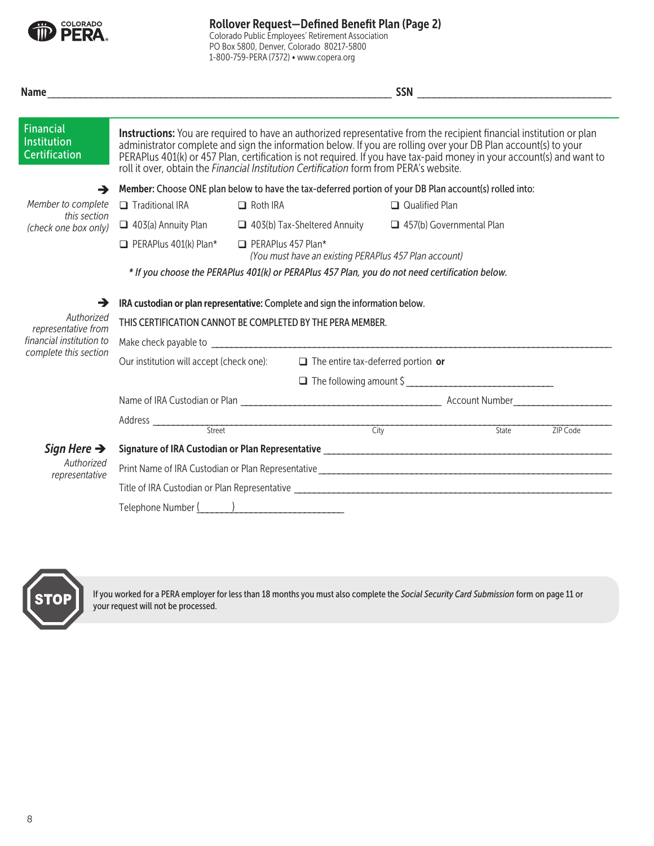

Rollover Request—Defined Benefit Plan (Page 2)

Colorado Public Employees' Retirement Association PO Box 5800, Denver, Colorado 80217-5800 1-800-759-PERA (7372) • www.copera.org

| <b>Financial</b><br><b>Institution</b><br><b>Certification</b> | Instructions: You are required to have an authorized representative from the recipient financial institution or plan<br>administrator complete and sign the information below. If you are rolling over your DB Plan account(s) to your<br>PERAPlus 401(k) or 457 Plan, certification is not required. If you have tax-paid money in your account(s) and want to<br>roll it over, obtain the Financial Institution Certification form from PERA's website. |                                     |  |                                           |       |          |  |
|----------------------------------------------------------------|-----------------------------------------------------------------------------------------------------------------------------------------------------------------------------------------------------------------------------------------------------------------------------------------------------------------------------------------------------------------------------------------------------------------------------------------------------------|-------------------------------------|--|-------------------------------------------|-------|----------|--|
| →                                                              | Member: Choose ONE plan below to have the tax-deferred portion of your DB Plan account(s) rolled into:                                                                                                                                                                                                                                                                                                                                                    |                                     |  |                                           |       |          |  |
| Member to complete                                             | $\Box$ Traditional IRA                                                                                                                                                                                                                                                                                                                                                                                                                                    | $\Box$ Roth IRA                     |  | $\Box$ Qualified Plan                     |       |          |  |
| this section<br>(check one box only)                           | $\Box$ 403(a) Annuity Plan                                                                                                                                                                                                                                                                                                                                                                                                                                | $\Box$ 403(b) Tax-Sheltered Annuity |  | $\Box$ 457(b) Governmental Plan           |       |          |  |
|                                                                | $\Box$ PERAPlus 401(k) Plan*<br>$\Box$ PERAPlus 457 Plan*<br>(You must have an existing PERAPlus 457 Plan account)                                                                                                                                                                                                                                                                                                                                        |                                     |  |                                           |       |          |  |
|                                                                | * If you choose the PERAPlus 401(k) or PERAPlus 457 Plan, you do not need certification below.                                                                                                                                                                                                                                                                                                                                                            |                                     |  |                                           |       |          |  |
| $\rightarrow$                                                  | IRA custodian or plan representative: Complete and sign the information below.                                                                                                                                                                                                                                                                                                                                                                            |                                     |  |                                           |       |          |  |
| Authorized<br>representative from                              | THIS CERTIFICATION CANNOT BE COMPLETED BY THE PERA MEMBER.                                                                                                                                                                                                                                                                                                                                                                                                |                                     |  |                                           |       |          |  |
| financial institution to                                       |                                                                                                                                                                                                                                                                                                                                                                                                                                                           |                                     |  |                                           |       |          |  |
| complete this section                                          | Our institution will accept (check one):                                                                                                                                                                                                                                                                                                                                                                                                                  |                                     |  | $\Box$ The entire tax-deferred portion or |       |          |  |
|                                                                |                                                                                                                                                                                                                                                                                                                                                                                                                                                           |                                     |  |                                           |       |          |  |
|                                                                |                                                                                                                                                                                                                                                                                                                                                                                                                                                           |                                     |  |                                           |       |          |  |
|                                                                |                                                                                                                                                                                                                                                                                                                                                                                                                                                           |                                     |  |                                           |       |          |  |
|                                                                | Street                                                                                                                                                                                                                                                                                                                                                                                                                                                    |                                     |  | City                                      | State | ZIP Code |  |
| Sign Here $\rightarrow$<br>Authorized                          |                                                                                                                                                                                                                                                                                                                                                                                                                                                           |                                     |  |                                           |       |          |  |
| representative                                                 |                                                                                                                                                                                                                                                                                                                                                                                                                                                           |                                     |  |                                           |       |          |  |
|                                                                |                                                                                                                                                                                                                                                                                                                                                                                                                                                           |                                     |  |                                           |       |          |  |
|                                                                | Telephone Number (                                                                                                                                                                                                                                                                                                                                                                                                                                        |                                     |  |                                           |       |          |  |



If you worked for a PERA employer for less than 18 months you must also complete the *Social Security Card Submission* form on page 11 or your request will not be processed.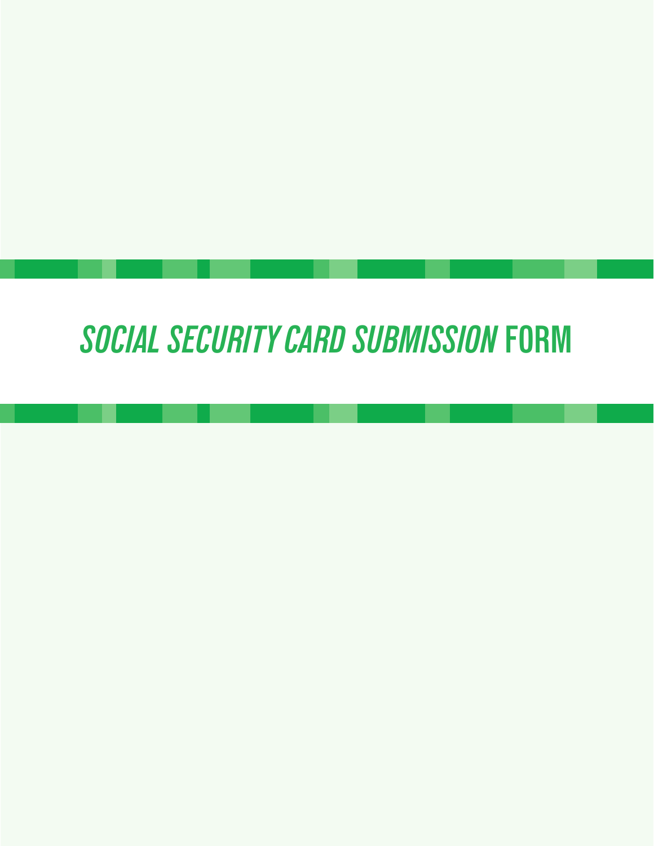# *SOCIAL SECURITY CARD SUBMISSION* **FORM**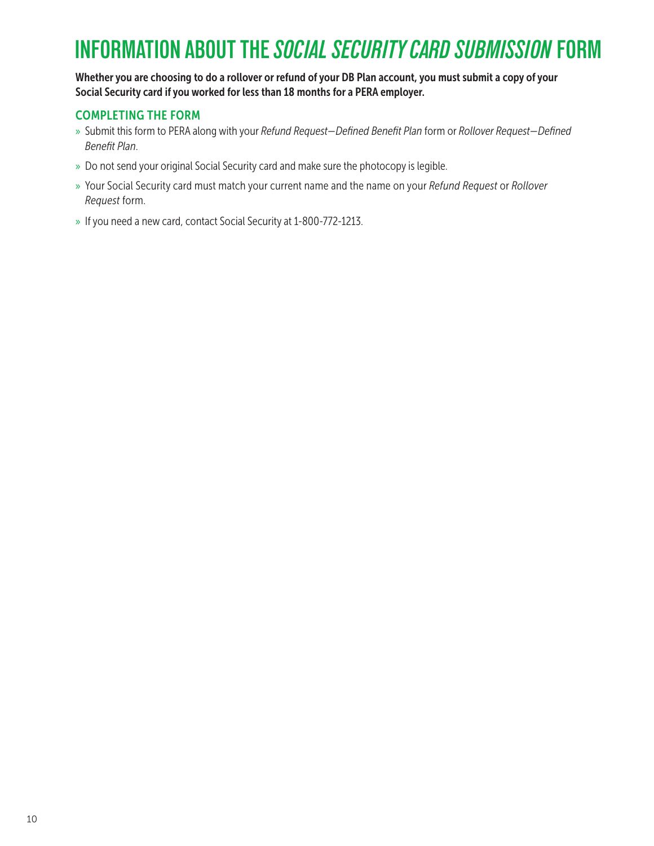## **INFORMATION ABOUT THE** *SOCIAL SECURITY CARD SUBMISSION* **FORM**

Whether you are choosing to do a rollover or refund of your DB Plan account, you must submit a copy of your Social Security card if you worked for less than 18 months for a PERA employer.

### COMPLETING THE FORM

- » Submit this form to PERA along with your *Refund Request—Defined Benefit Plan* form or *Rollover Request—Defined Benefit Plan*.
- » Do not send your original Social Security card and make sure the photocopy is legible.
- » Your Social Security card must match your current name and the name on your *Refund Request* or *Rollover Request* form.
- » If you need a new card, contact Social Security at 1-800-772-1213.